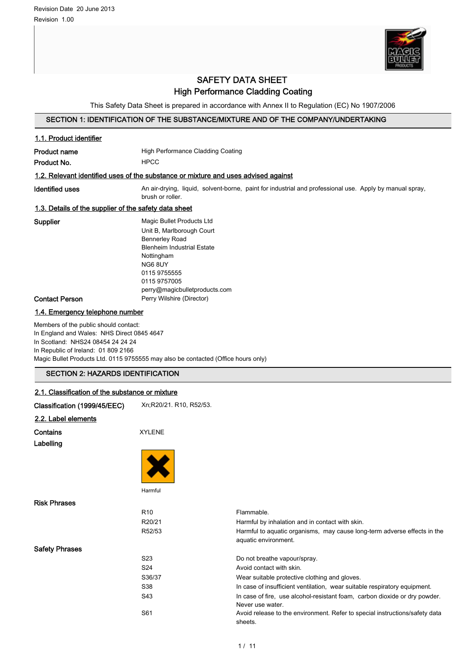

## SAFETY DATA SHEET High Performance Cladding Coating

This Safety Data Sheet is prepared in accordance with Annex II to Regulation (EC) No 1907/2006

## SECTION 1: IDENTIFICATION OF THE SUBSTANCE/MIXTURE AND OF THE COMPANY/UNDERTAKING

| 1.1. Product identifier                                                                                                                                                                                   |                                                                                                                                                                                                        |                                                                                                  |  |
|-----------------------------------------------------------------------------------------------------------------------------------------------------------------------------------------------------------|--------------------------------------------------------------------------------------------------------------------------------------------------------------------------------------------------------|--------------------------------------------------------------------------------------------------|--|
|                                                                                                                                                                                                           |                                                                                                                                                                                                        |                                                                                                  |  |
| <b>Product name</b><br>Product No.                                                                                                                                                                        | High Performance Cladding Coating<br><b>HPCC</b>                                                                                                                                                       |                                                                                                  |  |
|                                                                                                                                                                                                           |                                                                                                                                                                                                        |                                                                                                  |  |
| 1.2. Relevant identified uses of the substance or mixture and uses advised against                                                                                                                        |                                                                                                                                                                                                        |                                                                                                  |  |
| <b>Identified uses</b>                                                                                                                                                                                    | An air-drying, liquid, solvent-borne, paint for industrial and professional use. Apply by manual spray,<br>brush or roller.                                                                            |                                                                                                  |  |
| 1.3. Details of the supplier of the safety data sheet                                                                                                                                                     |                                                                                                                                                                                                        |                                                                                                  |  |
| Supplier                                                                                                                                                                                                  | Magic Bullet Products Ltd<br>Unit B, Marlborough Court<br>Bennerley Road<br><b>Blenheim Industrial Estate</b><br>Nottingham<br>NG68UY<br>0115 9755555<br>0115 9757005<br>perry@magicbulletproducts.com |                                                                                                  |  |
| <b>Contact Person</b>                                                                                                                                                                                     | Perry Wilshire (Director)                                                                                                                                                                              |                                                                                                  |  |
| In Scotland: NHS24 08454 24 24 24<br>In Republic of Ireland: 01 809 2166<br>Magic Bullet Products Ltd. 0115 9755555 may also be contacted (Office hours only)<br><b>SECTION 2: HAZARDS IDENTIFICATION</b> |                                                                                                                                                                                                        |                                                                                                  |  |
|                                                                                                                                                                                                           |                                                                                                                                                                                                        |                                                                                                  |  |
| 2.1. Classification of the substance or mixture                                                                                                                                                           |                                                                                                                                                                                                        |                                                                                                  |  |
| Classification (1999/45/EEC)                                                                                                                                                                              | Xn;R20/21. R10, R52/53.                                                                                                                                                                                |                                                                                                  |  |
| 2.2. Label elements                                                                                                                                                                                       |                                                                                                                                                                                                        |                                                                                                  |  |
| Contains<br>Labelling                                                                                                                                                                                     | <b>XYLENE</b>                                                                                                                                                                                          |                                                                                                  |  |
|                                                                                                                                                                                                           |                                                                                                                                                                                                        |                                                                                                  |  |
|                                                                                                                                                                                                           | Harmful                                                                                                                                                                                                |                                                                                                  |  |
| <b>Risk Phrases</b>                                                                                                                                                                                       |                                                                                                                                                                                                        |                                                                                                  |  |
|                                                                                                                                                                                                           | R <sub>10</sub>                                                                                                                                                                                        | Flammable.                                                                                       |  |
|                                                                                                                                                                                                           | R20/21                                                                                                                                                                                                 | Harmful by inhalation and in contact with skin.                                                  |  |
|                                                                                                                                                                                                           | R52/53                                                                                                                                                                                                 | Harmful to aquatic organisms, may cause long-term adverse effects in the<br>aquatic environment. |  |
| <b>Safety Phrases</b>                                                                                                                                                                                     |                                                                                                                                                                                                        |                                                                                                  |  |
|                                                                                                                                                                                                           | S <sub>2</sub> 3                                                                                                                                                                                       | Do not breathe vapour/spray.                                                                     |  |
|                                                                                                                                                                                                           | S24                                                                                                                                                                                                    | Avoid contact with skin.                                                                         |  |

sheets.

S36/37 Wear suitable protective clothing and gloves.

Never use water.

S38 In case of insufficient ventilation, wear suitable respiratory equipment. S43 In case of fire, use alcohol-resistant foam, carbon dioxide or dry powder.

S61 Avoid release to the environment. Refer to special instructions/safety data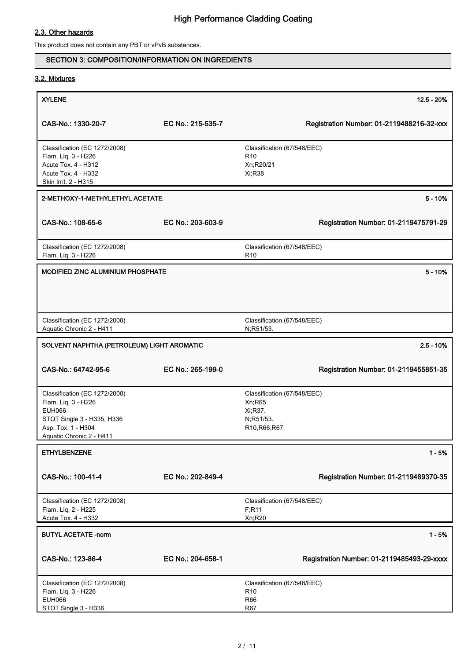## 2.3. Other hazards

This product does not contain any PBT or vPvB substances.

## SECTION 3: COMPOSITION/INFORMATION ON INGREDIENTS

## 3.2. Mixtures

| <b>XYLENE</b>                                                               |                   | $12.5 - 20%$                                    |
|-----------------------------------------------------------------------------|-------------------|-------------------------------------------------|
|                                                                             |                   |                                                 |
| CAS-No.: 1330-20-7                                                          | EC No.: 215-535-7 | Registration Number: 01-2119488216-32-xxx       |
| Classification (EC 1272/2008)<br>Flam. Liq. 3 - H226                        |                   | Classification (67/548/EEC)<br>R <sub>10</sub>  |
| Acute Tox. 4 - H312                                                         |                   | Xn;R20/21                                       |
| Acute Tox. 4 - H332<br>Skin Irrit. 2 - H315                                 |                   | Xi; R38                                         |
|                                                                             |                   |                                                 |
| 2-METHOXY-1-METHYLETHYL ACETATE                                             |                   | $5 - 10%$                                       |
| CAS-No.: 108-65-6                                                           | EC No.: 203-603-9 | Registration Number: 01-2119475791-29           |
| Classification (EC 1272/2008)<br>Flam. Liq. 3 - H226                        |                   | Classification (67/548/EEC)<br>R <sub>10</sub>  |
|                                                                             |                   |                                                 |
| MODIFIED ZINC ALUMINIUM PHOSPHATE                                           |                   | $5 - 10%$                                       |
|                                                                             |                   |                                                 |
| Classification (EC 1272/2008)<br>Aquatic Chronic 2 - H411                   |                   | Classification (67/548/EEC)<br>N;R51/53.        |
| SOLVENT NAPHTHA (PETROLEUM) LIGHT AROMATIC                                  |                   | $2.5 - 10%$                                     |
| CAS-No.: 64742-95-6                                                         | EC No.: 265-199-0 | Registration Number: 01-2119455851-35           |
| Classification (EC 1272/2008)                                               |                   | Classification (67/548/EEC)                     |
| Flam. Liq. 3 - H226                                                         |                   | Xn; R65.                                        |
| <b>EUH066</b><br>STOT Single 3 - H335, H336                                 |                   | Xi, R37.<br>N;R51/53.                           |
| Asp. Tox. 1 - H304                                                          |                   | R10, R66, R67.                                  |
| Aquatic Chronic 2 - H411                                                    |                   |                                                 |
| <b>ETHYLBENZENE</b>                                                         |                   | $1 - 5%$                                        |
| CAS-No.: 100-41-4                                                           | EC No.: 202-849-4 | Registration Number: 01-2119489370-35           |
| Classification (EC 1272/2008)<br>Flam. Liq. 2 - H225<br>Acute Tox. 4 - H332 |                   | Classification (67/548/EEC)<br>F; R11<br>Xn;R20 |
|                                                                             |                   |                                                 |
| <b>BUTYL ACETATE -norm</b>                                                  |                   | $1 - 5%$                                        |
| CAS-No.: 123-86-4                                                           | EC No.: 204-658-1 | Registration Number: 01-2119485493-29-xxxx      |
| Classification (EC 1272/2008)                                               |                   | Classification (67/548/EEC)                     |
| Flam. Liq. 3 - H226                                                         |                   | R <sub>10</sub>                                 |
| <b>EUH066</b><br>STOT Single 3 - H336                                       |                   | <b>R66</b><br><b>R67</b>                        |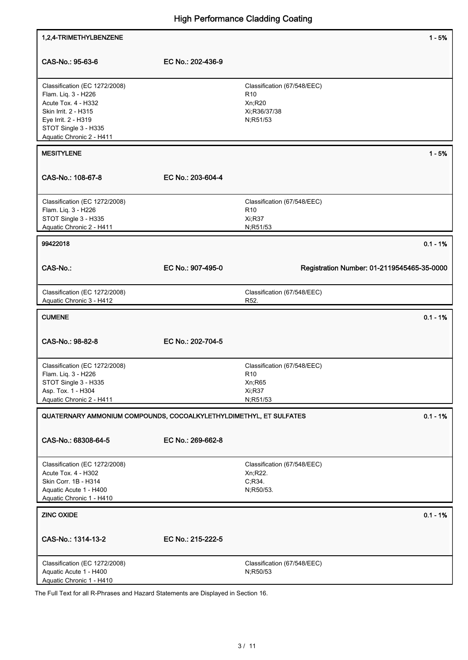| 1,2,4-TRIMETHYLBENZENE                                                                                                                                                         |                   | $1 - 5%$                                                                             |
|--------------------------------------------------------------------------------------------------------------------------------------------------------------------------------|-------------------|--------------------------------------------------------------------------------------|
| CAS-No.: 95-63-6                                                                                                                                                               | EC No.: 202-436-9 |                                                                                      |
| Classification (EC 1272/2008)<br>Flam. Liq. 3 - H226<br>Acute Tox. 4 - H332<br>Skin Irrit. 2 - H315<br>Eye Irrit. 2 - H319<br>STOT Single 3 - H335<br>Aquatic Chronic 2 - H411 |                   | Classification (67/548/EEC)<br>R <sub>10</sub><br>Xn;R20<br>Xi;R36/37/38<br>N;R51/53 |
| <b>MESITYLENE</b>                                                                                                                                                              |                   | $1 - 5%$                                                                             |
| CAS-No.: 108-67-8                                                                                                                                                              | EC No.: 203-604-4 |                                                                                      |
| Classification (EC 1272/2008)<br>Flam. Liq. 3 - H226<br>STOT Single 3 - H335<br>Aquatic Chronic 2 - H411                                                                       |                   | Classification (67/548/EEC)<br>R <sub>10</sub><br><b>Xi:R37</b><br>N;R51/53          |
| 99422018                                                                                                                                                                       |                   | $0.1 - 1%$                                                                           |
| <b>CAS-No.:</b>                                                                                                                                                                | EC No.: 907-495-0 | Registration Number: 01-2119545465-35-0000                                           |
| Classification (EC 1272/2008)<br>Aquatic Chronic 3 - H412                                                                                                                      |                   | Classification (67/548/EEC)<br>R52.                                                  |
| <b>CUMENE</b>                                                                                                                                                                  |                   | $0.1 - 1%$                                                                           |
| CAS-No.: 98-82-8                                                                                                                                                               | EC No.: 202-704-5 |                                                                                      |
| Classification (EC 1272/2008)<br>Flam. Liq. 3 - H226<br>STOT Single 3 - H335<br>Asp. Tox. 1 - H304<br>Aquatic Chronic 2 - H411                                                 |                   | Classification (67/548/EEC)<br>R <sub>10</sub><br>Xn;R65<br>Xi;R37<br>N;R51/53       |
| QUATERNARY AMMONIUM COMPOUNDS, COCOALKYLETHYLDIMETHYL, ET SULFATES                                                                                                             |                   | $0.1 - 1%$                                                                           |
| CAS-No.: 68308-64-5                                                                                                                                                            | EC No.: 269-662-8 |                                                                                      |
| Classification (EC 1272/2008)<br>Acute Tox. 4 - H302<br>Skin Corr. 1B - H314<br>Aquatic Acute 1 - H400<br>Aquatic Chronic 1 - H410                                             |                   | Classification (67/548/EEC)<br>Xn;R22.<br>C,R34.<br>N;R50/53.                        |
| <b>ZINC OXIDE</b>                                                                                                                                                              |                   | $0.1 - 1%$                                                                           |
| CAS-No.: 1314-13-2                                                                                                                                                             | EC No.: 215-222-5 |                                                                                      |
| Classification (EC 1272/2008)<br>Aquatic Acute 1 - H400                                                                                                                        |                   | Classification (67/548/EEC)<br>N;R50/53                                              |

The Full Text for all R-Phrases and Hazard Statements are Displayed in Section 16.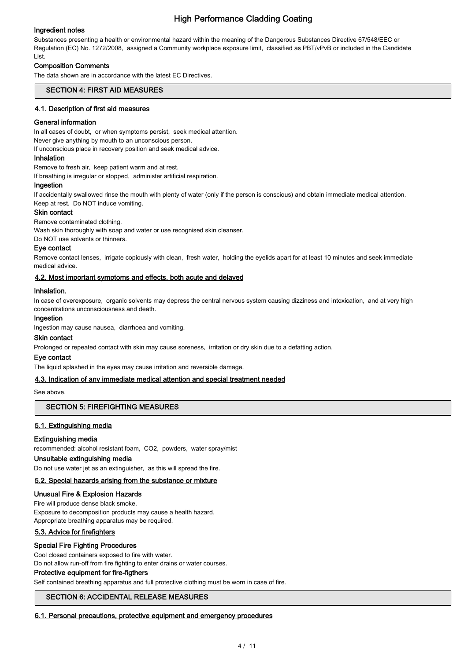## Ingredient notes

Substances presenting a health or environmental hazard within the meaning of the Dangerous Substances Directive 67/548/EEC or Regulation (EC) No. 1272/2008, assigned a Community workplace exposure limit, classified as PBT/vPvB or included in the Candidate List.

### Composition Comments

The data shown are in accordance with the latest EC Directives.

## SECTION 4: FIRST AID MEASURES

#### 4.1. Description of first aid measures

#### General information

In all cases of doubt, or when symptoms persist, seek medical attention.

Never give anything by mouth to an unconscious person.

If unconscious place in recovery position and seek medical advice.

#### Inhalation

Remove to fresh air, keep patient warm and at rest. If breathing is irregular or stopped, administer artificial respiration.

#### Ingestion

If accidentally swallowed rinse the mouth with plenty of water (only if the person is conscious) and obtain immediate medical attention. Keep at rest. Do NOT induce vomiting.

#### Skin contact

Remove contaminated clothing.

Wash skin thoroughly with soap and water or use recognised skin cleanser.

Do NOT use solvents or thinners.

#### Eye contact

Remove contact lenses, irrigate copiously with clean, fresh water, holding the eyelids apart for at least 10 minutes and seek immediate medical advice.

#### 4.2. Most important symptoms and effects, both acute and delayed

#### Inhalation.

In case of overexposure, organic solvents may depress the central nervous system causing dizziness and intoxication, and at very high concentrations unconsciousness and death.

#### Ingestion

Ingestion may cause nausea, diarrhoea and vomiting.

#### Skin contact

Prolonged or repeated contact with skin may cause soreness, irritation or dry skin due to a defatting action.

#### Eye contact

The liquid splashed in the eyes may cause irritation and reversible damage.

### 4.3. Indication of any immediate medical attention and special treatment needed

See above.

### SECTION 5: FIREFIGHTING MEASURES

### 5.1. Extinguishing media

### Extinguishing media

recommended: alcohol resistant foam, CO2, powders, water spray/mist

## Unsuitable extinguishing media

Do not use water jet as an extinguisher, as this will spread the fire.

## 5.2. Special hazards arising from the substance or mixture

Unusual Fire & Explosion Hazards

Fire will produce dense black smoke. Exposure to decomposition products may cause a health hazard. Appropriate breathing apparatus may be required.

### 5.3. Advice for firefighters

### Special Fire Fighting Procedures

Cool closed containers exposed to fire with water.

Do not allow run-off from fire fighting to enter drains or water courses.

## Protective equipment for fire-figthers

Self contained breathing apparatus and full protective clothing must be worn in case of fire.

## SECTION 6: ACCIDENTAL RELEASE MEASURES

#### 6.1. Personal precautions, protective equipment and emergency procedures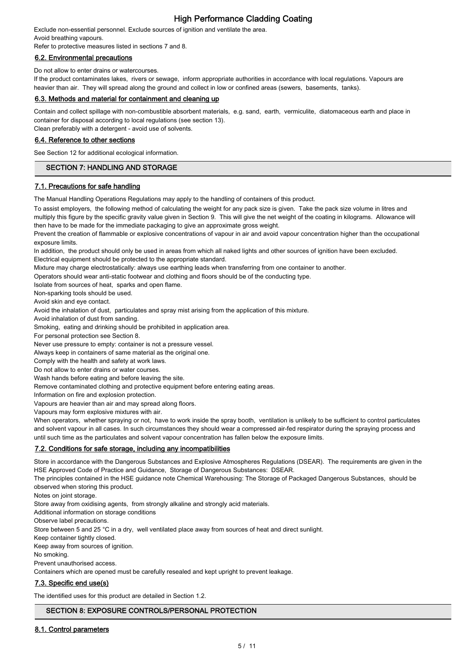Exclude non-essential personnel. Exclude sources of ignition and ventilate the area. Avoid breathing vapours.

Refer to protective measures listed in sections 7 and 8.

## 6.2. Environmental precautions

Do not allow to enter drains or watercourses.

If the product contaminates lakes, rivers or sewage, inform appropriate authorities in accordance with local regulations. Vapours are heavier than air. They will spread along the ground and collect in low or confined areas (sewers, basements, tanks).

### 6.3. Methods and material for containment and cleaning up

Contain and collect spillage with non-combustible absorbent materials, e.g. sand, earth, vermiculite, diatomaceous earth and place in container for disposal according to local regulations (see section 13).

Clean preferably with a detergent - avoid use of solvents.

### 6.4. Reference to other sections

See Section 12 for additional ecological information.

## SECTION 7: HANDLING AND STORAGE

### 7.1. Precautions for safe handling

The Manual Handling Operations Regulations may apply to the handling of containers of this product.

To assist employers, the following method of calculating the weight for any pack size is given. Take the pack size volume in litres and multiply this figure by the specific gravity value given in Section 9. This will give the net weight of the coating in kilograms. Allowance will then have to be made for the immediate packaging to give an approximate gross weight.

Prevent the creation of flammable or explosive concentrations of vapour in air and avoid vapour concentration higher than the occupational exposure limits.

In addition, the product should only be used in areas from which all naked lights and other sources of ignition have been excluded. Electrical equipment should be protected to the appropriate standard.

Mixture may charge electrostatically: always use earthing leads when transferring from one container to another.

Operators should wear anti-static footwear and clothing and floors should be of the conducting type.

Isolate from sources of heat, sparks and open flame.

Non-sparking tools should be used.

Avoid skin and eye contact.

Avoid the inhalation of dust, particulates and spray mist arising from the application of this mixture.

Avoid inhalation of dust from sanding.

Smoking, eating and drinking should be prohibited in application area.

For personal protection see Section 8.

Never use pressure to empty: container is not a pressure vessel.

Always keep in containers of same material as the original one.

Comply with the health and safety at work laws.

Do not allow to enter drains or water courses.

Wash hands before eating and before leaving the site.

Remove contaminated clothing and protective equipment before entering eating areas.

Information on fire and explosion protection.

Vapours are heavier than air and may spread along floors.

Vapours may form explosive mixtures with air.

When operators, whether spraying or not, have to work inside the spray booth, ventilation is unlikely to be sufficient to control particulates and solvent vapour in all cases. In such circumstances they should wear a compressed air-fed respirator during the spraying process and until such time as the particulates and solvent vapour concentration has fallen below the exposure limits.

## 7.2. Conditions for safe storage, including any incompatibilities

Store in accordance with the Dangerous Substances and Explosive Atmospheres Regulations (DSEAR). The requirements are given in the HSE Approved Code of Practice and Guidance, Storage of Dangerous Substances: DSEAR.

The principles contained in the HSE guidance note Chemical Warehousing: The Storage of Packaged Dangerous Substances, should be observed when storing this product.

Notes on joint storage.

Store away from oxidising agents, from strongly alkaline and strongly acid materials.

Additional information on storage conditions

Observe label precautions.

Store between 5 and 25 °C in a dry, well ventilated place away from sources of heat and direct sunlight.

Keep container tightly closed.

Keep away from sources of ignition.

No smoking.

Prevent unauthorised access.

Containers which are opened must be carefully resealed and kept upright to prevent leakage.

## 7.3. Specific end use(s)

The identified uses for this product are detailed in Section 1.2.

### SECTION 8: EXPOSURE CONTROLS/PERSONAL PROTECTION

### 8.1. Control parameters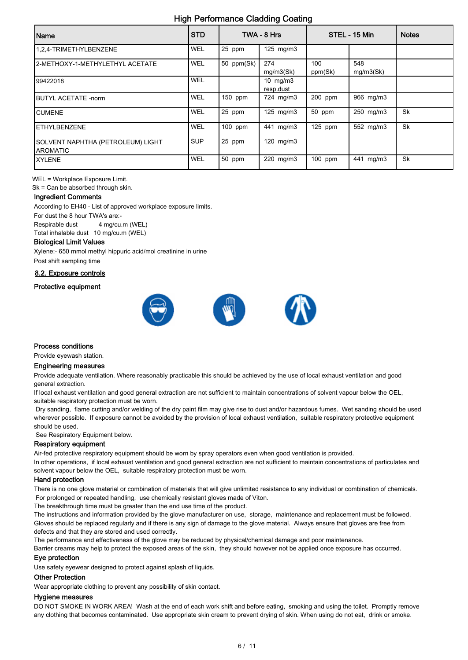| Name                                                 | <b>STD</b> |            | TWA - 8 Hrs             |                | STEL - 15 Min    | <b>Notes</b> |
|------------------------------------------------------|------------|------------|-------------------------|----------------|------------------|--------------|
| 1,2,4-TRIMETHYLBENZENE                               | WEL        | 25 ppm     | $125$ mg/m $3$          |                |                  |              |
| 2-METHOXY-1-METHYLETHYL ACETATE                      | <b>WEL</b> | 50 ppm(Sk) | 274<br>mg/m3(Sk)        | 100<br>ppm(Sk) | 548<br>mg/m3(Sk) |              |
| 99422018                                             | WEL        |            | 10 $mg/m3$<br>resp.dust |                |                  |              |
| <b>IBUTYL ACETATE -norm</b>                          | <b>WEL</b> | 150 ppm    | 724 mg/m3               | 200 ppm        | 966 mg/m3        |              |
| <b>ICUMENE</b>                                       | WEL        | 25 ppm     | $125$ mg/m $3$          | 50 ppm         | 250 mg/m3        | Sk           |
| <b>IETHYLBENZENE</b>                                 | <b>WEL</b> | 100 ppm    | 441 mg/m3               | 125 ppm        | 552 mg/m3        | Sk           |
| SOLVENT NAPHTHA (PETROLEUM) LIGHT<br><b>AROMATIC</b> | <b>SUP</b> | 25 ppm     | 120 mg/m3               |                |                  |              |
| IXYLENE                                              | WEL        | 50 ppm     | $220$ mg/m $3$          | $100$ ppm      | 441 mg/m3        | Sk           |

WEL = Workplace Exposure Limit.

Sk = Can be absorbed through skin.

#### Ingredient Comments

According to EH40 - List of approved workplace exposure limits. For dust the 8 hour TWA's are:- Respirable dust 4 mg/cu.m (WEL)

Total inhalable dust 10 mg/cu.m (WEL)

## Biological Limit Values

Xylene:- 650 mmol methyl hippuric acid/mol creatinine in urine Post shift sampling time

8.2. Exposure controls

## Protective equipment



#### Process conditions

Provide eyewash station.

## Engineering measures

Provide adequate ventilation. Where reasonably practicable this should be achieved by the use of local exhaust ventilation and good general extraction.

If local exhaust ventilation and good general extraction are not sufficient to maintain concentrations of solvent vapour below the OEL, suitable respiratory protection must be worn.

 Dry sanding, flame cutting and/or welding of the dry paint film may give rise to dust and/or hazardous fumes. Wet sanding should be used wherever possible. If exposure cannot be avoided by the provision of local exhaust ventilation, suitable respiratory protective equipment should be used.

See Respiratory Equipment below.

#### Respiratory equipment

Air-fed protective respiratory equipment should be worn by spray operators even when good ventilation is provided.

In other operations, if local exhaust ventilation and good general extraction are not sufficient to maintain concentrations of particulates and solvent vapour below the OEL, suitable respiratory protection must be worn.

#### Hand protection

There is no one glove material or combination of materials that will give unlimited resistance to any individual or combination of chemicals. For prolonged or repeated handling, use chemically resistant gloves made of Viton.

The breakthrough time must be greater than the end use time of the product.

The instructions and information provided by the glove manufacturer on use, storage, maintenance and replacement must be followed. Gloves should be replaced regularly and if there is any sign of damage to the glove material. Always ensure that gloves are free from defects and that they are stored and used correctly.

The performance and effectiveness of the glove may be reduced by physical/chemical damage and poor maintenance.

Barrier creams may help to protect the exposed areas of the skin, they should however not be applied once exposure has occurred.

#### Eye protection

Use safety eyewear designed to protect against splash of liquids.

#### Other Protection

Wear appropriate clothing to prevent any possibility of skin contact.

#### Hygiene measures

DO NOT SMOKE IN WORK AREA! Wash at the end of each work shift and before eating, smoking and using the toilet. Promptly remove any clothing that becomes contaminated. Use appropriate skin cream to prevent drying of skin. When using do not eat, drink or smoke.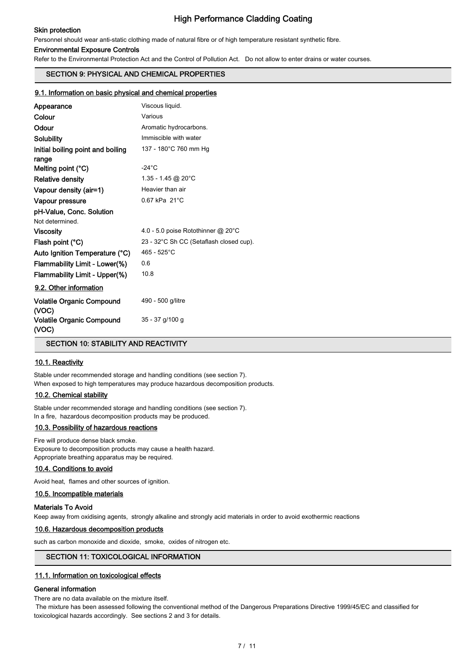### Skin protection

## High Performance Cladding Coating

Personnel should wear anti-static clothing made of natural fibre or of high temperature resistant synthetic fibre.

#### Environmental Exposure Controls

Refer to the Environmental Protection Act and the Control of Pollution Act. Do not allow to enter drains or water courses.

## SECTION 9: PHYSICAL AND CHEMICAL PROPERTIES

#### 9.1. Information on basic physical and chemical properties

| Appearance                                 | Viscous liquid.                         |
|--------------------------------------------|-----------------------------------------|
| Colour                                     | Various                                 |
| Odour                                      | Aromatic hydrocarbons.                  |
| Solubility                                 | Immiscible with water                   |
| Initial boiling point and boiling<br>range | 137 - 180°C 760 mm Hg                   |
| Melting point (°C)                         | $-24^{\circ}$ C                         |
| <b>Relative density</b>                    | 1.35 - 1.45 @ 20°C                      |
| Vapour density (air=1)                     | Heavier than air                        |
| Vapour pressure                            | $0.67$ kPa $21^{\circ}$ C               |
| pH-Value, Conc. Solution                   |                                         |
| Not determined.                            |                                         |
| <b>Viscosity</b>                           | 4.0 - 5.0 poise Rotothinner @ 20°C      |
| Flash point (°C)                           | 23 - 32°C Sh CC (Setaflash closed cup). |
| Auto Ignition Temperature (°C)             | 465 - 525°C                             |
| Flammability Limit - Lower(%)              | 0.6                                     |
| Flammability Limit - Upper(%)              | 10.8                                    |
| 9.2. Other information                     |                                         |
| <b>Volatile Organic Compound</b><br>(VOC)  | 490 - 500 g/litre                       |
| <b>Volatile Organic Compound</b><br>(VOC)  | 35 - 37 g/100 g                         |

SECTION 10: STABILITY AND REACTIVITY

#### 10.1. Reactivity

Stable under recommended storage and handling conditions (see section 7). When exposed to high temperatures may produce hazardous decomposition products.

#### 10.2. Chemical stability

Stable under recommended storage and handling conditions (see section 7). In a fire, hazardous decomposition products may be produced.

#### 10.3. Possibility of hazardous reactions

Fire will produce dense black smoke. Exposure to decomposition products may cause a health hazard. Appropriate breathing apparatus may be required.

#### 10.4. Conditions to avoid

Avoid heat, flames and other sources of ignition.

#### 10.5. Incompatible materials

#### Materials To Avoid

Keep away from oxidising agents, strongly alkaline and strongly acid materials in order to avoid exothermic reactions

#### 10.6. Hazardous decomposition products

such as carbon monoxide and dioxide, smoke, oxides of nitrogen etc.

### SECTION 11: TOXICOLOGICAL INFORMATION

#### 11.1. Information on toxicological effects

#### General information

There are no data available on the mixture itself.

 The mixture has been assessed following the conventional method of the Dangerous Preparations Directive 1999/45/EC and classified for toxicological hazards accordingly. See sections 2 and 3 for details.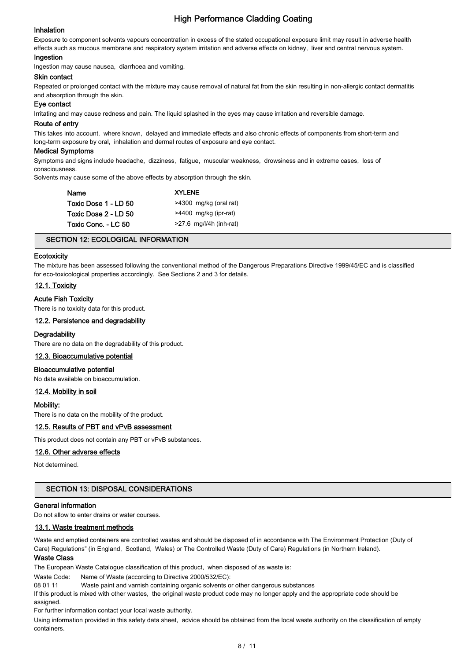#### Inhalation

Exposure to component solvents vapours concentration in excess of the stated occupational exposure limit may result in adverse health effects such as mucous membrane and respiratory system irritation and adverse effects on kidney, liver and central nervous system.

#### Ingestion

Ingestion may cause nausea, diarrhoea and vomiting.

#### Skin contact

Repeated or prolonged contact with the mixture may cause removal of natural fat from the skin resulting in non-allergic contact dermatitis and absorption through the skin.

#### Eye contact

Irritating and may cause redness and pain. The liquid splashed in the eyes may cause irritation and reversible damage.

#### Route of entry

This takes into account, where known, delayed and immediate effects and also chronic effects of components from short-term and long-term exposure by oral, inhalation and dermal routes of exposure and eye contact.

#### Medical Symptoms

Symptoms and signs include headache, dizziness, fatigue, muscular weakness, drowsiness and in extreme cases, loss of consciousness.

Solvents may cause some of the above effects by absorption through the skin.

| <b>Name</b>          | <b>XYLENE</b>             |
|----------------------|---------------------------|
| Toxic Dose 1 - LD 50 | >4300 mg/kg (oral rat)    |
| Toxic Dose 2 - LD 50 | >4400 mg/kg (ipr-rat)     |
| Toxic Conc. - LC 50  | $>27.6$ mg/l/4h (inh-rat) |

#### SECTION 12: ECOLOGICAL INFORMATION

#### **Ecotoxicity**

The mixture has been assessed following the conventional method of the Dangerous Preparations Directive 1999/45/EC and is classified for eco-toxicological properties accordingly. See Sections 2 and 3 for details.

#### 12.1. Toxicity

#### Acute Fish Toxicity

There is no toxicity data for this product.

#### 12.2. Persistence and degradability

#### **Degradability**

There are no data on the degradability of this product.

#### 12.3. Bioaccumulative potential

#### Bioaccumulative potential

No data available on bioaccumulation.

#### 12.4. Mobility in soil

#### Mobility:

There is no data on the mobility of the product.

### 12.5. Results of PBT and vPvB assessment

This product does not contain any PBT or vPvB substances.

#### 12.6. Other adverse effects

Not determined.

#### SECTION 13: DISPOSAL CONSIDERATIONS

### General information

Do not allow to enter drains or water courses.

## 13.1. Waste treatment methods

Waste and emptied containers are controlled wastes and should be disposed of in accordance with The Environment Protection (Duty of Care) Regulations" (in England, Scotland, Wales) or The Controlled Waste (Duty of Care) Regulations (in Northern Ireland).

## Waste Class

The European Waste Catalogue classification of this product, when disposed of as waste is:

Waste Code: Name of Waste (according to Directive 2000/532/EC):

08 01 11 Waste paint and varnish containing organic solvents or other dangerous substances

If this product is mixed with other wastes, the original waste product code may no longer apply and the appropriate code should be assigned.

For further information contact your local waste authority.

Using information provided in this safety data sheet, advice should be obtained from the local waste authority on the classification of empty containers.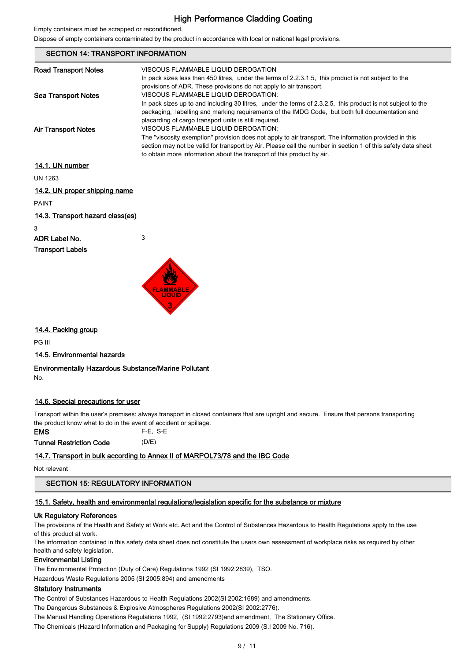Empty containers must be scrapped or reconditioned.

Dispose of empty containers contaminated by the product in accordance with local or national legal provisions.

| <b>SECTION 14: TRANSPORT INFORMATION</b> |                                                                                                                                                                                                                                                                                                                                         |  |  |
|------------------------------------------|-----------------------------------------------------------------------------------------------------------------------------------------------------------------------------------------------------------------------------------------------------------------------------------------------------------------------------------------|--|--|
| <b>Road Transport Notes</b>              | VISCOUS FLAMMABLE LIQUID DEROGATION<br>In pack sizes less than 450 litres, under the terms of 2.2.3.1.5, this product is not subject to the<br>provisions of ADR. These provisions do not apply to air transport.                                                                                                                       |  |  |
| Sea Transport Notes                      | VISCOUS FLAMMABLE LIQUID DEROGATION:<br>In pack sizes up to and including 30 litres, under the terms of 2.3.2.5, this product is not subject to the<br>packaging, labelling and marking requirements of the IMDG Code, but both full documentation and<br>placarding of cargo transport units is still required.                        |  |  |
| <b>Air Transport Notes</b>               | VISCOUS FLAMMABLE LIQUID DEROGATION:<br>The "viscosity exemption" provision does not apply to air transport. The information provided in this<br>section may not be valid for transport by Air. Please call the number in section 1 of this safety data sheet<br>to obtain more information about the transport of this product by air. |  |  |
| 14.1. UN number                          |                                                                                                                                                                                                                                                                                                                                         |  |  |
| <b>UN 1263</b>                           |                                                                                                                                                                                                                                                                                                                                         |  |  |
| 14.2. UN proper shipping name            |                                                                                                                                                                                                                                                                                                                                         |  |  |
| <b>PAINT</b>                             |                                                                                                                                                                                                                                                                                                                                         |  |  |
| 14.3. Transport hazard class(es)         |                                                                                                                                                                                                                                                                                                                                         |  |  |

3

# ADR Label No. 3

## Transport Labels



## 14.4. Packing group

PG III

### 14.5. Environmental hazards

#### Environmentally Hazardous Substance/Marine Pollutant No.

## 14.6. Special precautions for user

Transport within the user's premises: always transport in closed containers that are upright and secure. Ensure that persons transporting the product know what to do in the event of accident or spillage.

EMS F-E, S-E Tunnel Restriction Code (D/E)

## 14.7. Transport in bulk according to Annex II of MARPOL73/78 and the IBC Code

Not relevant

## SECTION 15: REGULATORY INFORMATION

## 15.1. Safety, health and environmental regulations/legislation specific for the substance or mixture

### Uk Regulatory References

The provisions of the Health and Safety at Work etc. Act and the Control of Substances Hazardous to Health Regulations apply to the use of this product at work.

The information contained in this safety data sheet does not constitute the users own assessment of workplace risks as required by other health and safety legislation.

### Environmental Listing

The Environmental Protection (Duty of Care) Regulations 1992 (SI 1992:2839), TSO.

Hazardous Waste Regulations 2005 (SI 2005:894) and amendments

## Statutory Instruments

The Control of Substances Hazardous to Health Regulations 2002(SI 2002:1689) and amendments.

The Dangerous Substances & Explosive Atmospheres Regulations 2002(SI 2002:2776).

The Manual Handling Operations Regulations 1992, (SI 1992:2793)and amendment, The Stationery Office.

The Chemicals (Hazard Information and Packaging for Supply) Regulations 2009 (S.I 2009 No. 716).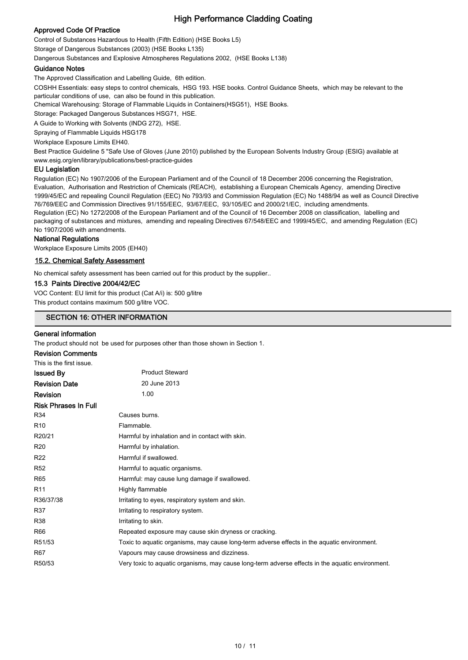## Approved Code Of Practice

Control of Substances Hazardous to Health (Fifth Edition) (HSE Books L5) Storage of Dangerous Substances (2003) (HSE Books L135)

Dangerous Substances and Explosive Atmospheres Regulations 2002, (HSE Books L138)

#### Guidance Notes

The Approved Classification and Labelling Guide, 6th edition.

COSHH Essentials: easy steps to control chemicals, HSG 193. HSE books. Control Guidance Sheets, which may be relevant to the particular conditions of use, can also be found in this publication.

Chemical Warehousing: Storage of Flammable Liquids in Containers(HSG51), HSE Books.

Storage: Packaged Dangerous Substances HSG71, HSE.

A Guide to Working with Solvents (INDG 272), HSE.

Spraying of Flammable Liquids HSG178

Workplace Exposure Limits EH40.

Best Practice Guideline 5 "Safe Use of Gloves (June 2010) published by the European Solvents Industry Group (ESIG) available at www.esig.org/en/library/publications/best-practice-guides

#### EU Legislation

Regulation (EC) No 1907/2006 of the European Parliament and of the Council of 18 December 2006 concerning the Registration, Evaluation, Authorisation and Restriction of Chemicals (REACH), establishing a European Chemicals Agency, amending Directive 1999/45/EC and repealing Council Regulation (EEC) No 793/93 and Commission Regulation (EC) No 1488/94 as well as Council Directive 76/769/EEC and Commission Directives 91/155/EEC, 93/67/EEC, 93/105/EC and 2000/21/EC, including amendments. Regulation (EC) No 1272/2008 of the European Parliament and of the Council of 16 December 2008 on classification, labelling and packaging of substances and mixtures, amending and repealing Directives 67/548/EEC and 1999/45/EC, and amending Regulation (EC) No 1907/2006 with amendments.

#### National Regulations

Workplace Exposure Limits 2005 (EH40)

#### 15.2. Chemical Safety Assessment

No chemical safety assessment has been carried out for this product by the supplier..

#### 15.3 Paints Directive 2004/42/EC

VOC Content: EU limit for this product (Cat A/i) is: 500 g/litre This product contains maximum 500 g/litre VOC.

## SECTION 16: OTHER INFORMATION

#### General information

The product should not be used for purposes other than those shown in Section 1.

| <b>Product Steward</b>                                                                           |
|--------------------------------------------------------------------------------------------------|
| 20 June 2013                                                                                     |
| 1.00                                                                                             |
|                                                                                                  |
| Causes burns.                                                                                    |
| Flammable.                                                                                       |
| Harmful by inhalation and in contact with skin.                                                  |
| Harmful by inhalation.                                                                           |
| Harmful if swallowed.                                                                            |
| Harmful to aquatic organisms.                                                                    |
| Harmful: may cause lung damage if swallowed.                                                     |
| Highly flammable                                                                                 |
| Irritating to eyes, respiratory system and skin.                                                 |
| Irritating to respiratory system.                                                                |
| Irritating to skin.                                                                              |
| Repeated exposure may cause skin dryness or cracking.                                            |
| Toxic to aquatic organisms, may cause long-term adverse effects in the aquatic environment.      |
| Vapours may cause drowsiness and dizziness.                                                      |
| Very toxic to aquatic organisms, may cause long-term adverse effects in the aquatic environment. |
|                                                                                                  |